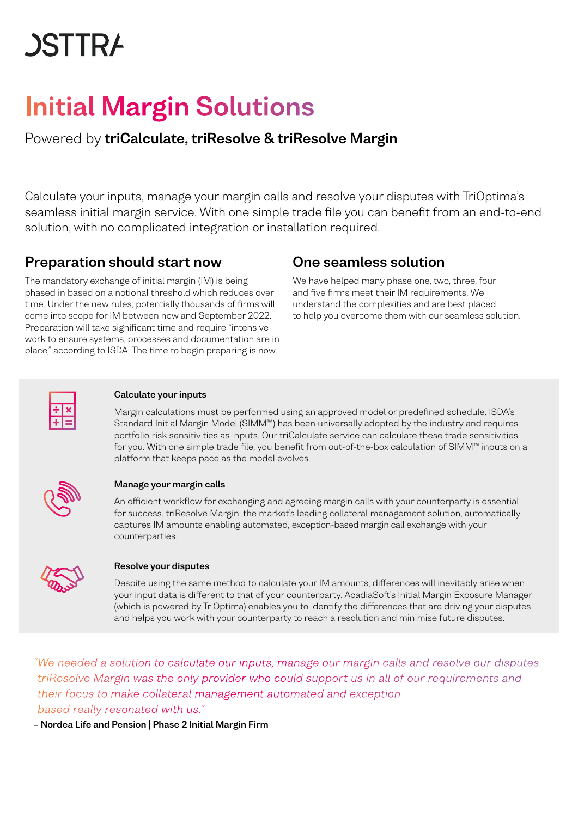# **JSTTRA**

## Initial Margin Solutions

Powered by triCalculate, triResolve & triResolve Margin

Calculate your inputs, manage your margin calls and resolve your disputes with TriOptima's seamless initial margin service. With one simple trade file you can benefit from an end-to-end solution, with no complicated integration or installation required.

## Preparation should start now

The mandatory exchange of initial margin (IM) is being phased in based on a notional threshold which reduces over time. Under the new rules, potentially thousands of firms will come into scope for IM between now and September 2022. Preparation will take significant time and require "intensive work to ensure systems, processes and documentation are in place," according to ISDA. The time to begin preparing is now.

## One seamless solution

We have helped many phase one, two, three, four and five firms meet their IM requirements. We understand the complexities and are best placed to help you overcome them with our seamless solution.



#### Calculate your inputs

Margin calculations must be performed using an approved model or predefined schedule. ISDA's Standard Initial Margin Model (SIMM™) has been universally adopted by the industry and requires portfolio risk sensitivities as inputs. Our triCalculate service can calculate these trade sensitivities for you. With one simple trade file, you benefit from out-of-the-box calculation of SIMM™ inputs on a platform that keeps pace as the model evolves.



#### Manage your margin calls

An efficient workflow for exchanging and agreeing margin calls with your counterparty is essential for success. triResolve Margin, the market's leading collateral management solution, automatically captures IM amounts enabling automated, exception-based margin call exchange with your counterparties.



#### Resolve your disputes

Despite using the same method to calculate your IM amounts, differences will inevitably arise when your input data is different to that of your counterparty. AcadiaSoft's Initial Margin Exposure Manager (which is powered by TriOptima) enables you to identify the differences that are driving your disputes and helps you work with your counterparty to reach a resolution and minimise future disputes.

*"We needed a solution to calculate our inputs, manage our margin calls and resolve our disputes. triResolve Margin was the only provider who could support us in all of our requirements and their focus to make collateral management automated and exception based really resonated with us."*

– Nordea Life and Pension | Phase 2 Initial Margin Firm